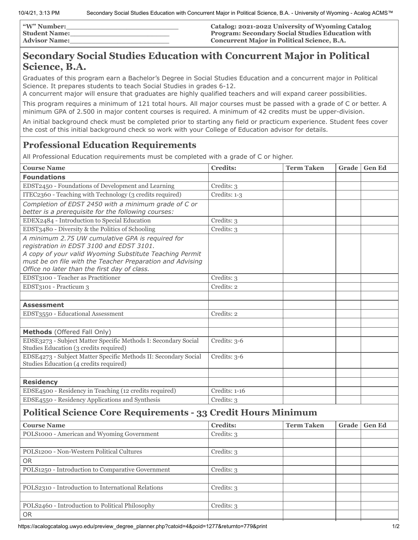| <b><i>W</i></b> " Number: | Catalog: 2021-2022 University of Wyoming Catalog        |
|---------------------------|---------------------------------------------------------|
| <b>Student Name:</b>      | <b>Program: Secondary Social Studies Education with</b> |
| <b>Advisor Name:</b>      | <b>Concurrent Major in Political Science, B.A.</b>      |

## **Secondary Social Studies Education with Concurrent Major in Political Science, B.A.**

Graduates of this program earn a Bachelor's Degree in Social Studies Education and a concurrent major in Political Science. It prepares students to teach Social Studies in grades 6-12.

A concurrent major will ensure that graduates are highly qualified teachers and will expand career possibilities.

This program requires a minimum of 121 total hours. All major courses must be passed with a grade of C or better. A minimum GPA of 2.500 in major content courses is required. A minimum of 42 credits must be upper-division.

An initial background check must be completed prior to starting any field or practicum experience. Student fees cover the cost of this initial background check so work with your College of Education advisor for details.

## **Professional Education Requirements**

All Professional Education requirements must be completed with a grade of C or higher.

| <b>Course Name</b>                                                                                                                                                                                                                                                   | <b>Credits:</b> | <b>Term Taken</b> | Grade | <b>Gen Ed</b> |
|----------------------------------------------------------------------------------------------------------------------------------------------------------------------------------------------------------------------------------------------------------------------|-----------------|-------------------|-------|---------------|
| <b>Foundations</b>                                                                                                                                                                                                                                                   |                 |                   |       |               |
| EDST2450 - Foundations of Development and Learning                                                                                                                                                                                                                   | Credits: 3      |                   |       |               |
| ITEC2360 - Teaching with Technology (3 credits required)                                                                                                                                                                                                             | Credits: 1-3    |                   |       |               |
| Completion of EDST 2450 with a minimum grade of C or                                                                                                                                                                                                                 |                 |                   |       |               |
| better is a prerequisite for the following courses:                                                                                                                                                                                                                  |                 |                   |       |               |
| EDEX2484 - Introduction to Special Education                                                                                                                                                                                                                         | Credits: 3      |                   |       |               |
| EDST3480 - Diversity & the Politics of Schooling                                                                                                                                                                                                                     | Credits: 3      |                   |       |               |
| A minimum 2.75 UW cumulative GPA is required for<br>registration in EDST 3100 and EDST 3101.<br>A copy of your valid Wyoming Substitute Teaching Permit<br>must be on file with the Teacher Preparation and Advising<br>Office no later than the first day of class. |                 |                   |       |               |
| EDST3100 - Teacher as Practitioner                                                                                                                                                                                                                                   | Credits: 3      |                   |       |               |
| EDST3101 - Practicum 3                                                                                                                                                                                                                                               | Credits: 2      |                   |       |               |
|                                                                                                                                                                                                                                                                      |                 |                   |       |               |
| <b>Assessment</b>                                                                                                                                                                                                                                                    |                 |                   |       |               |
| EDST3550 - Educational Assessment                                                                                                                                                                                                                                    | Credits: 2      |                   |       |               |
|                                                                                                                                                                                                                                                                      |                 |                   |       |               |
| Methods (Offered Fall Only)                                                                                                                                                                                                                                          |                 |                   |       |               |
| EDSE3273 - Subject Matter Specific Methods I: Secondary Social<br>Studies Education (3 credits required)                                                                                                                                                             | Credits: 3-6    |                   |       |               |
| EDSE4273 - Subject Matter Specific Methods II: Secondary Social<br>Studies Education (4 credits required)                                                                                                                                                            | Credits: 3-6    |                   |       |               |
|                                                                                                                                                                                                                                                                      |                 |                   |       |               |
| <b>Residency</b>                                                                                                                                                                                                                                                     |                 |                   |       |               |
| EDSE4500 - Residency in Teaching (12 credits required)                                                                                                                                                                                                               | Credits: 1-16   |                   |       |               |
| EDSE4550 - Residency Applications and Synthesis                                                                                                                                                                                                                      | Credits: 3      |                   |       |               |
| <b>Political Science Core Requirements - 33 Credit Hours Minimum</b>                                                                                                                                                                                                 |                 |                   |       |               |

| <b>Course Name</b>                                 | <b>Credits:</b> | <b>Term Taken</b> | Grade | <b>Gen Ed</b> |
|----------------------------------------------------|-----------------|-------------------|-------|---------------|
| POLS1000 - American and Wyoming Government         | Credits: 3      |                   |       |               |
|                                                    |                 |                   |       |               |
| POLS1200 - Non-Western Political Cultures          | Credits: 3      |                   |       |               |
| <b>OR</b>                                          |                 |                   |       |               |
| POLS1250 - Introduction to Comparative Government  | Credits: 3      |                   |       |               |
|                                                    |                 |                   |       |               |
| POLS2310 - Introduction to International Relations | Credits: 3      |                   |       |               |
|                                                    |                 |                   |       |               |
| POLS2460 - Introduction to Political Philosophy    | Credits: 3      |                   |       |               |
| <b>OR</b>                                          |                 |                   |       |               |
|                                                    |                 |                   |       |               |